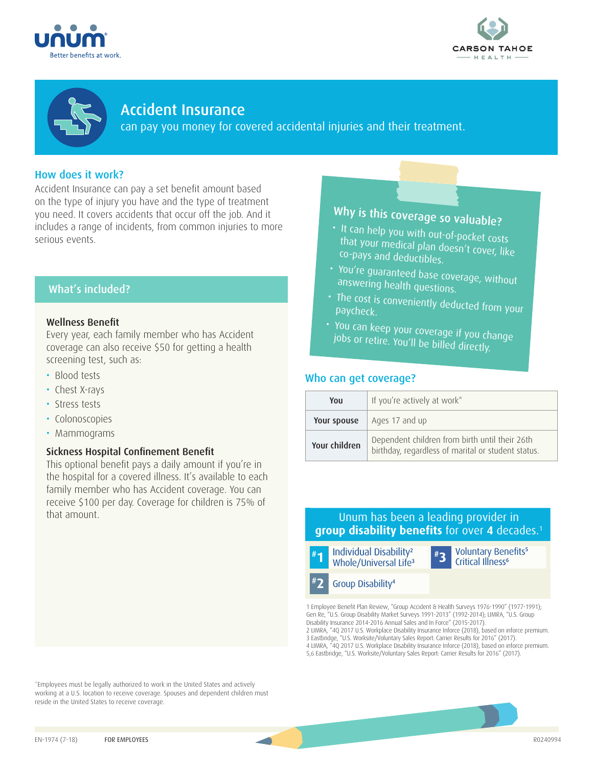





Accident Insurance can pay you money for covered accidental injuries and their treatment.

## How does it work?

Accident Insurance can pay a set benefit amount based on the type of injury you have and the type of treatment you need. It covers accidents that occur off the job. And it includes a range of incidents, from common injuries to more serious events.

## What's included?

### Wellness Benefit

Every year, each family member who has Accident coverage can also receive \$50 for getting a health screening test, such as:

- Blood tests
- Chest X-rays
- Stress tests
- Colonoscopies
- Mammograms

### Sickness Hospital Confinement Benefit

This optional benefit pays a daily amount if you're in the hospital for a covered illness. It's available to each family member who has Accident coverage. You can receive \$100 per day. Coverage for children is 75% of that amount. Unum has been a leading provider in

\*Employees must be legally authorized to work in the United States and actively working at a U.S. location to receive coverage. Spouses and dependent children must reside in the United States to receive coverage.

# Why is this coverage so valuable?

- It can help you with out-of-pocket costs that your medical plan doesn't cover, like co-pays and deductibles.
- You're guaranteed base coverage, without answering health questions.
- The cost is conveniently deducted from your paycheck.
- You can keep your coverage if you change<br>- jobs or retire, You'll keef wat fou change jobs or retire. You'll be billed directly.

## Who can get coverage?

| You           | If you're actively at work*                                                                          |
|---------------|------------------------------------------------------------------------------------------------------|
| Your spouse   | Ages 17 and up                                                                                       |
| Your children | Dependent children from birth until their 26th<br>birthday, regardless of marital or student status. |

## **group disability benefits** for over **4** decades.1



1 Employee Benefit Plan Review, "Group Accident & Health Surveys 1976-1990" (1977-1991); Gen Re, "U.S. Group Disability Market Surveys 1991-2013" (1992-2014); LIMRA, "U.S. Group Disability Insurance 2014-2016 Annual Sales and In Force" (2015-2017).

2 LIMRA, "4Q 2017 U.S. Workplace Disability Insurance Inforce (2018), based on inforce premium. 3 Eastbridge, "U.S. Worksite/Voluntary Sales Report: Carrier Results for 2016" (2017). 4 LIMRA, "4Q 2017 U.S. Workplace Disability Insurance Inforce (2018), based on inforce premium. 5,6 Eastbridge, "U.S. Worksite/Voluntary Sales Report: Carrier Results for 2016" (2017).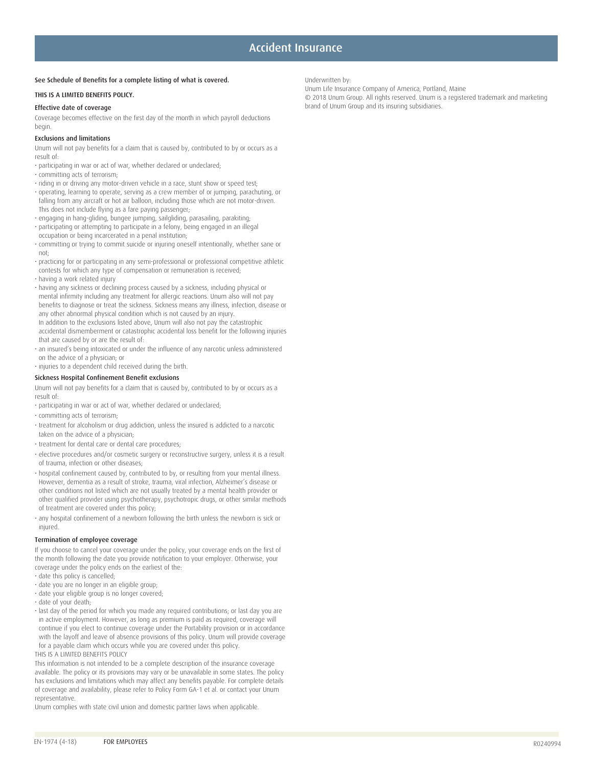## Accident Insurance

Underwritten by:

#### See Schedule of Benefits for a complete listing of what is covered.

#### THIS IS A LIMITED BENEFITS POLICY.

#### Effective date of coverage

Coverage becomes effective on the first day of the month in which payroll deductions begin.

#### Exclusions and limitations

Unum will not pay benefits for a claim that is caused by, contributed to by or occurs as a result of:

- participating in war or act of war, whether declared or undeclared;
- committing acts of terrorism;
- riding in or driving any motor-driven vehicle in a race, stunt show or speed test;
- operating, learning to operate, serving as a crew member of or jumping, parachuting, or falling from any aircraft or hot air balloon, including those which are not motor-driven. This does not include flying as a fare paying passenger;
- engaging in hang-gliding, bungee jumping, sailgliding, parasailing, parakiting;
- participating or attempting to participate in a felony, being engaged in an illegal occupation or being incarcerated in a penal institution;
- committing or trying to commit suicide or injuring oneself intentionally, whether sane or not;
- practicing for or participating in any semi-professional or professional competitive athletic contests for which any type of compensation or remuneration is received;
- having a work related injury
- having any sickness or declining process caused by a sickness, including physical or mental infirmity including any treatment for allergic reactions. Unum also will not pay benefits to diagnose or treat the sickness. Sickness means any illness, infection, disease or any other abnormal physical condition which is not caused by an injury. In addition to the exclusions listed above, Unum will also not pay the catastrophic accidental dismemberment or catastrophic accidental loss benefit for the following injuries that are caused by or are the result of:
- an insured's being intoxicated or under the influence of any narcotic unless administered on the advice of a physician; or
- injuries to a dependent child received during the birth.

#### Sickness Hospital Confinement Benefit exclusions

Unum will not pay benefits for a claim that is caused by, contributed to by or occurs as a result of:

- participating in war or act of war, whether declared or undeclared;
- committing acts of terrorism;
- treatment for alcoholism or drug addiction, unless the insured is addicted to a narcotic taken on the advice of a physician;
- treatment for dental care or dental care procedures;
- elective procedures and/or cosmetic surgery or reconstructive surgery, unless it is a result of trauma, infection or other diseases;
- hospital confinement caused by, contributed to by, or resulting from your mental illness. However, dementia as a result of stroke, trauma, viral infection, Alzheimer's disease or other conditions not listed which are not usually treated by a mental health provider or other qualified provider using psychotherapy, psychotropic drugs, or other similar methods of treatment are covered under this policy;
- any hospital confinement of a newborn following the birth unless the newborn is sick or injured.

#### Termination of employee coverage

If you choose to cancel your coverage under the policy, your coverage ends on the first of the month following the date you provide notification to your employer. Otherwise, your coverage under the policy ends on the earliest of the:

- date this policy is cancelled;
- date you are no longer in an eligible group; • date your eligible group is no longer covered;
- date of your death;
- last day of the period for which you made any required contributions; or last day you are in active employment. However, as long as premium is paid as required, coverage will continue if you elect to continue coverage under the Portability provision or in accordance with the layoff and leave of absence provisions of this policy. Unum will provide coverage for a payable claim which occurs while you are covered under this policy.

THIS IS A LIMITED BENEFITS POLICY

This information is not intended to be a complete description of the insurance coverage available. The policy or its provisions may vary or be unavailable in some states. The policy has exclusions and limitations which may affect any benefits payable. For complete details of coverage and availability, please refer to Policy Form GA-1 et al. or contact your Unum representative.

Unum complies with state civil union and domestic partner laws when applicable.